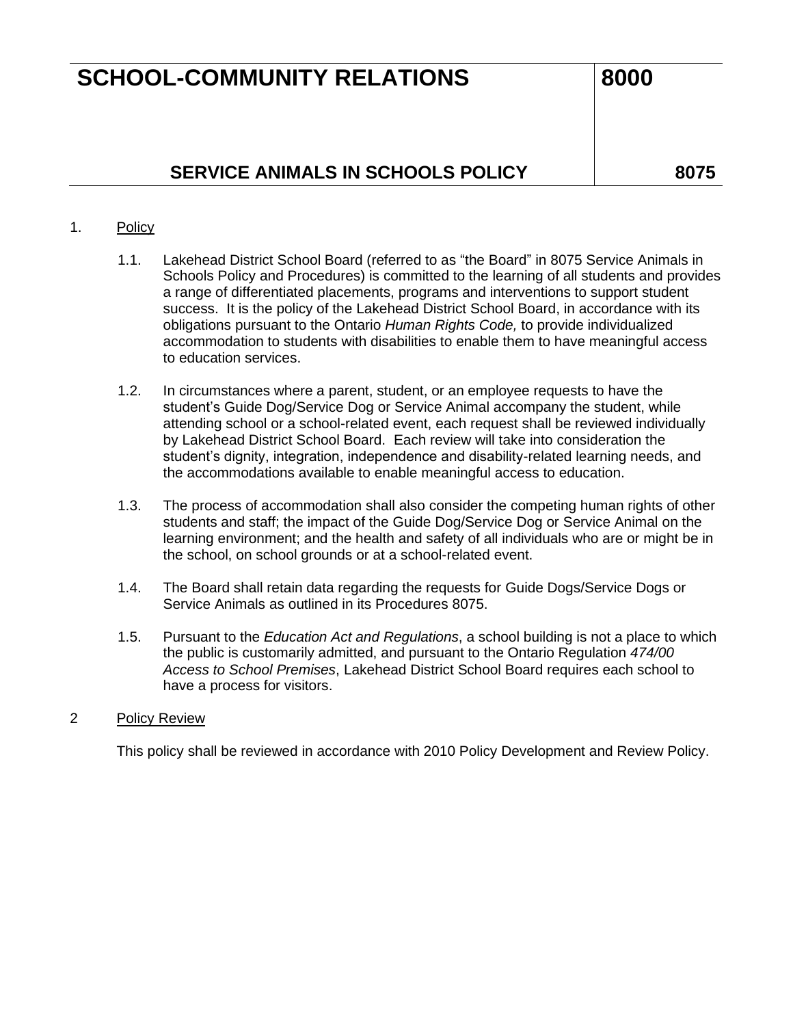# **SCHOOL-COMMUNITY RELATIONS** 8000

## **SERVICE ANIMALS IN SCHOOLS POLICY** 2075

### 1. Policy

- 1.1. Lakehead District School Board (referred to as "the Board" in 8075 Service Animals in Schools Policy and Procedures) is committed to the learning of all students and provides a range of differentiated placements, programs and interventions to support student success. It is the policy of the Lakehead District School Board, in accordance with its obligations pursuant to the Ontario *Human Rights Code,* to provide individualized accommodation to students with disabilities to enable them to have meaningful access to education services.
- 1.2. In circumstances where a parent, student, or an employee requests to have the student's Guide Dog/Service Dog or Service Animal accompany the student, while attending school or a school-related event, each request shall be reviewed individually by Lakehead District School Board. Each review will take into consideration the student's dignity, integration, independence and disability-related learning needs, and the accommodations available to enable meaningful access to education.
- 1.3. The process of accommodation shall also consider the competing human rights of other students and staff; the impact of the Guide Dog/Service Dog or Service Animal on the learning environment; and the health and safety of all individuals who are or might be in the school, on school grounds or at a school-related event.
- 1.4. The Board shall retain data regarding the requests for Guide Dogs/Service Dogs or Service Animals as outlined in its Procedures 8075.
- 1.5. Pursuant to the *Education Act and Regulations*, a school building is not a place to which the public is customarily admitted, and pursuant to the Ontario Regulation *474/00 Access to School Premises*, Lakehead District School Board requires each school to have a process for visitors.

#### 2 Policy Review

This policy shall be reviewed in accordance with 2010 Policy Development and Review Policy.